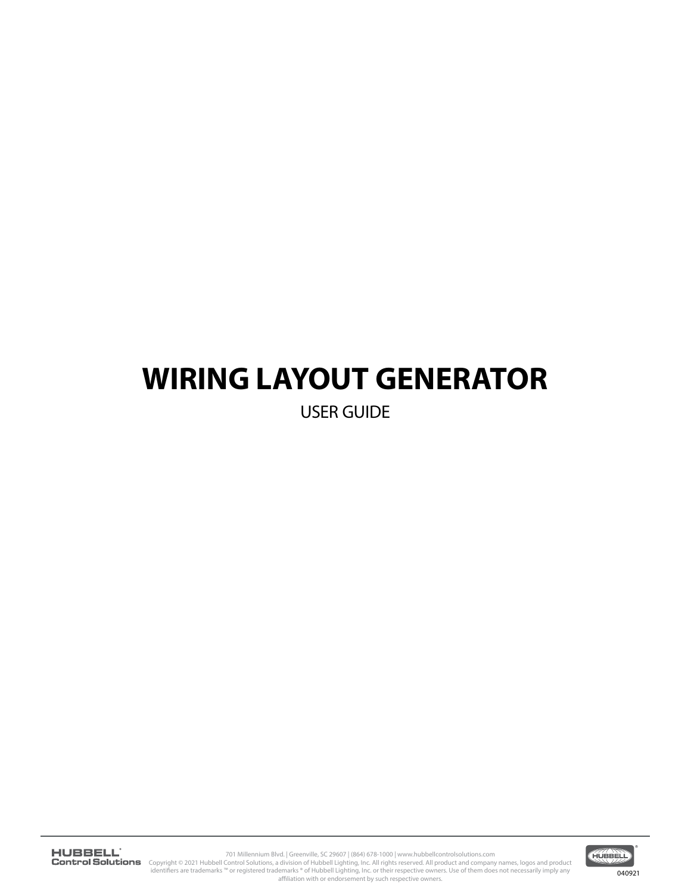# **WIRING LAYOUT GENERATOR**

USER GUIDE

701 Millennium Blvd. | Greenville, SC 29607 | (864) 678-1000 | www.hubbellcontrolsolutions.com<br>Copyright © 2021 Hubbell Control Solutions, a division of Hubbell Lighting, Inc. All rights reserved. All prod<br>identifiers are

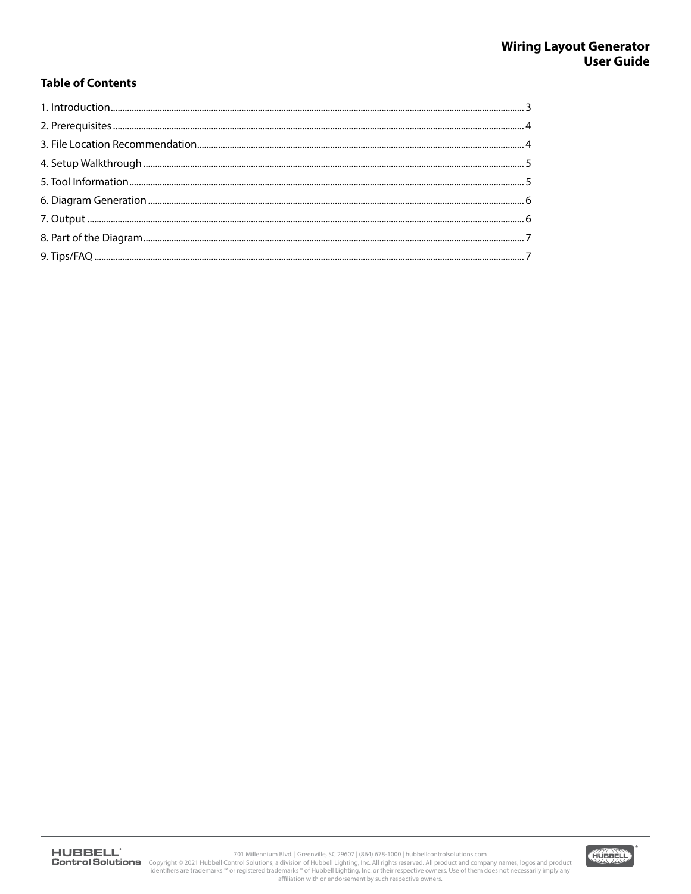## **Table of Contents**

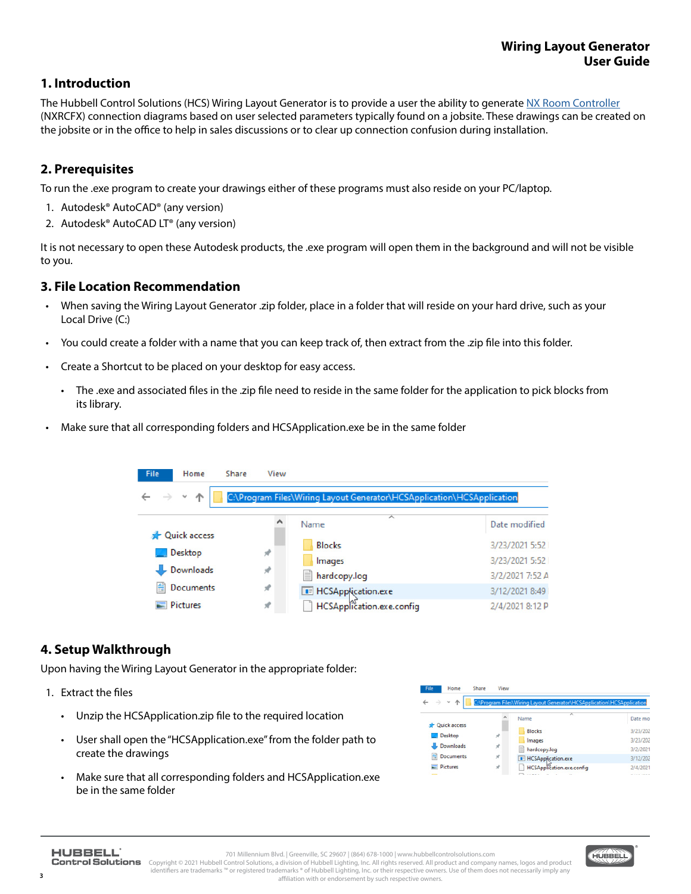## **1. Introduction**

The Hubbell Control Solutions (HCS) Wiring Layout Generator is to provide a user the ability to generate [NX Room Controller](https://www.hubbell.com/hubbellcontrolsolutions/en/Products/Lighting-Controls/Lighting-Controls-Sensors/NX-Distributed-Intelligence-Lighting-Controls/FX-Room-Controller/p/6338621) (NXRCFX) connection diagrams based on user selected parameters typically found on a jobsite. These drawings can be created on the jobsite or in the office to help in sales discussions or to clear up connection confusion during installation.

## **2. Prerequisites**

To run the .exe program to create your drawings either of these programs must also reside on your PC/laptop.

- 1. Autodesk® AutoCAD® (any version)
- 2. Autodesk® AutoCAD LT® (any version)

It is not necessary to open these Autodesk products, the .exe program will open them in the background and will not be visible to you.

#### **3. File Location Recommendation**

- When saving the Wiring Layout Generator .zip folder, place in a folder that will reside on your hard drive, such as your Local Drive (C:)
- You could create a folder with a name that you can keep track of, then extract from the .zip file into this folder.
- Create a Shortcut to be placed on your desktop for easy access.
	- The .exe and associated files in the .zip file need to reside in the same folder for the application to pick blocks from its library.
- Make sure that all corresponding folders and HCSApplication.exe be in the same folder



## **4. Setup Walkthrough**

Upon having the Wiring Layout Generator in the appropriate folder:

- 1. Extract the files
	- Unzip the HCSApplication.zip file to the required location
	- User shall open the "HCSApplication.exe" from the folder path to create the drawings
	- Make sure that all corresponding folders and HCSApplication.exe be in the same folder

| File<br>Home                   | View<br>Share |                                                                        |                      |
|--------------------------------|---------------|------------------------------------------------------------------------|----------------------|
| 个                              |               | C:\Program Files\Wiring Layout Generator\HCSApplication\HCSApplication |                      |
|                                |               | $\overline{\phantom{a}}$<br>Name                                       | Date mo              |
| <b>Cuick access</b><br>Desktop | À             | <b>Blocks</b>                                                          | 3/23/202             |
| - Downloads                    | ÷             | Images                                                                 | 3/23/202             |
| <b>Documents</b><br>н          | À             | hardcopy.log<br><b>E</b> HCSApplication.exe                            | 3/2/2021<br>3/12/202 |
| <b>Pictures</b>                | ₹             | HCSApplication.exe.config                                              | 2/4/2021             |
|                                |               |                                                                        |                      |

**3**

701 Millennium Blvd. | Greenville, SC 29607 | (864) 678-1000 | www.hubbellcontrolsolutions.com Control Solutions Copyright © 2021 Hubbell Control Solutions, a division of Hubbell Lighting, Inc. All rights reserved. All product and company names, logos and product identifiers are trademarks ™ or registered trademarks ® of Hubbell Lighting, Inc. or their respective owners. Use of them does not necessarily imply any

affiliation with or endorsement by such respective owners.

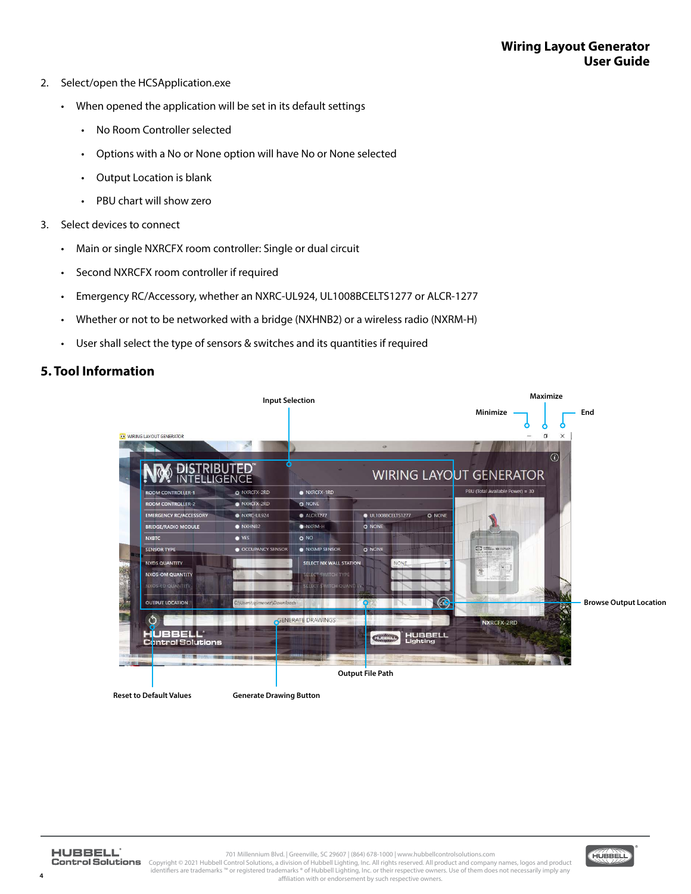- 2. Select/open the HCSApplication.exe
	- When opened the application will be set in its default settings
		- No Room Controller selected
		- Options with a No or None option will have No or None selected
		- Output Location is blank
		- PBU chart will show zero
- 3. Select devices to connect
	- Main or single NXRCFX room controller: Single or dual circuit
	- Second NXRCFX room controller if required
	- Emergency RC/Accessory, whether an NXRC-UL924, UL1008BCELTS1277 or ALCR-1277
	- Whether or not to be networked with a bridge (NXHNB2) or a wireless radio (NXRM-H)
	- User shall select the type of sensors & switches and its quantities if required

### **5. Tool Information**



**4**

701 Millennium Blvd. | Greenville, SC 29607 | (864) 678-1000 | www.hubbellcontrolsolutions.com Copyright © 2021 Hubbell Control Solutions, a division of Hubbell Lighting, Inc. All rights reserved. All product and company names, logos and product<br>identifiers are trademarks ™ or registered trademarks ® of Hubbell Lig affiliation with or endorsement by such respective owners.

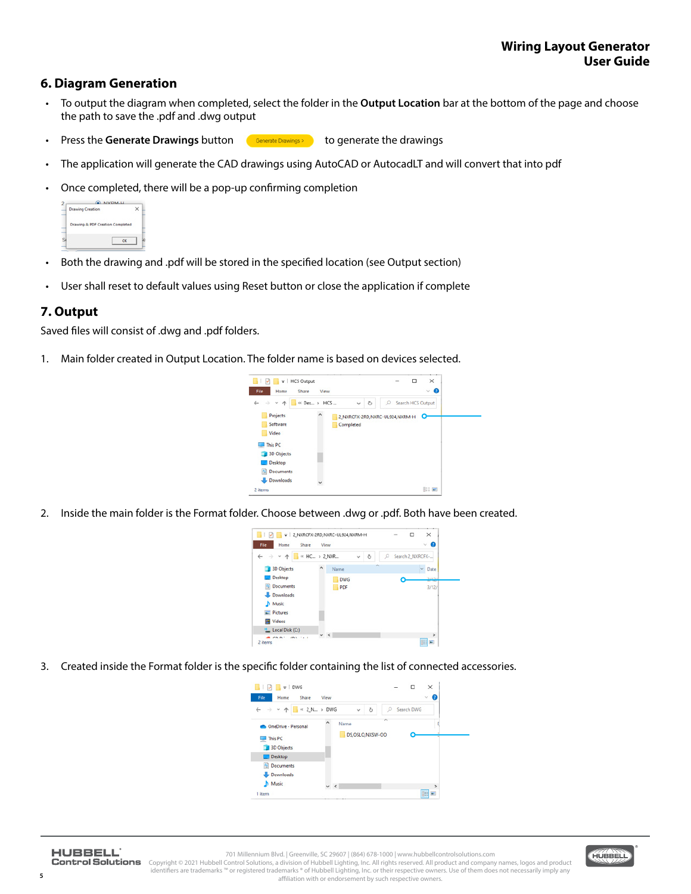#### **6. Diagram Generation**

- To output the diagram when completed, select the folder in the **Output Location** bar at the bottom of the page and choose the path to save the .pdf and .dwg output
- **Press the Generate Drawings** button **Contract Drawings** to generate the drawings
- The application will generate the CAD drawings using AutoCAD or AutocadLT and will convert that into pdf
- Once completed, there will be a pop-up confirming completion

| LIVEINA LL<br><b>Drawing Creation</b> |                                  |  |  |
|---------------------------------------|----------------------------------|--|--|
|                                       | Drawing & PDF Creation Completed |  |  |
|                                       |                                  |  |  |

- Both the drawing and .pdf will be stored in the specified location (see Output section)
- User shall reset to default values using Reset button or close the application if complete

#### **7. Output**

Saved files will consist of .dwg and .pdf folders.

1. Main folder created in Output Location. The folder name is based on devices selected.



2. Inside the main folder is the Format folder. Choose between .dwg or .pdf. Both have been created.



3. Created inside the Format folder is the specific folder containing the list of connected accessories.



**5**

701 Millennium Blvd. | Greenville, SC 29607 | (864) 678-1000 | www.hubbellcontrolsolutions.com

Control Solutions Copyright © 2021 Hubbell Control Solutions, a division of Hubbell Lighting, Inc. All rights reserved. All product and company names, logos and product identifiers are trademarks ™ or registered trademarks ® of Hubbell Lighting, Inc. or their respective owners. Use of them does not necessarily imply any affiliation with or endorsement by such respective owners.